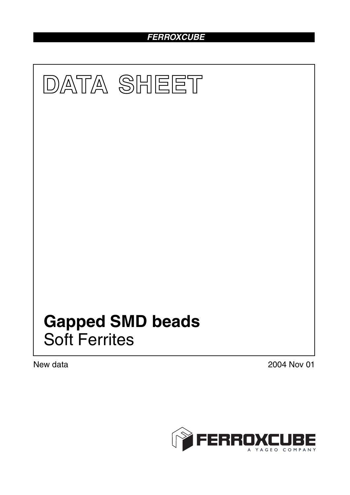# *FERROXCUBE*



New data 2004 Nov 01

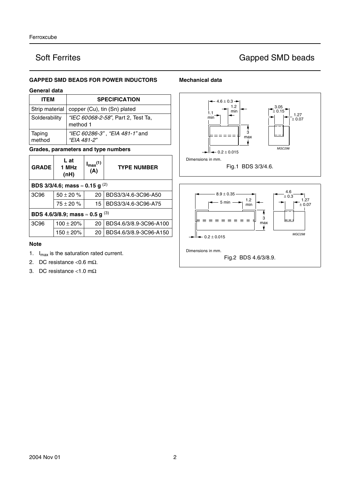## **GAPPED SMD BEADS FOR POWER INDUCTORS**

### **General data**

| <b>ITEM</b>      | <b>SPECIFICATION</b>                           |
|------------------|------------------------------------------------|
| Strip material   | copper (Cu), tin (Sn) plated                   |
| Solderability    | "IEC 60068-2-58", Part 2, Test Ta,<br>method 1 |
| Taping<br>method | "IEC 60286-3", "EIA 481-1" and<br>"EIA 481-2"  |

### **Grades, parameters and type numbers**

| <b>GRADE</b>                                 | L at<br>1 MHz<br>(nH)                       | $I_{\text{max}}(1)$<br>(A) | <b>TYPE NUMBER</b>     |  |  |
|----------------------------------------------|---------------------------------------------|----------------------------|------------------------|--|--|
|                                              | BDS 3/3/4.6; mass $\approx$ 0.15 g $^{(2)}$ |                            |                        |  |  |
| 3C <sub>96</sub>                             | $50 \pm 20 \%$                              | 20                         | BDS3/3/4.6-3C96-A50    |  |  |
|                                              | $75 \pm 20 \%$                              | 15                         | BDS3/3/4.6-3C96-A75    |  |  |
| BDS 4.6/3/8.9; mass $\approx$ 0.5 g $^{(3)}$ |                                             |                            |                        |  |  |
| 3C <sub>96</sub>                             | $100 \pm 20\%$                              | 20                         | BDS4.6/3/8.9-3C96-A100 |  |  |
|                                              | $150 \pm 20\%$                              | 20                         | BDS4.6/3/8.9-3C96-A150 |  |  |

### **Note**

- 1.  $I_{max}$  is the saturation rated current.
- 2. DC resistance < $0.6$  m $\Omega$ .
- 3. DC resistance <1.0 mΩ

## **Mechanical data**

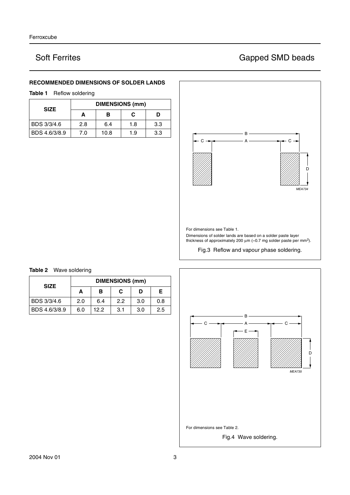## **RECOMMENDED DIMENSIONS OF SOLDER LANDS**

## **Table 1** Reflow soldering

| <b>SIZE</b>   | <b>DIMENSIONS (mm)</b> |      |     |     |  |
|---------------|------------------------|------|-----|-----|--|
|               | А                      | в    | С   | D   |  |
| BDS 3/3/4.6   | 2.8                    | 6.4  | 1.8 | 3.3 |  |
| BDS 4.6/3/8.9 | 7.0                    | 10.8 | 1.9 | 3.3 |  |





### **Table 2** Wave soldering ┓

| <b>SIZE</b>   | <b>DIMENSIONS (mm)</b> |      |     |     |     |  |
|---------------|------------------------|------|-----|-----|-----|--|
|               | А                      | в    | С   | D   | F.  |  |
| BDS 3/3/4.6   | 2.0                    | 6.4  | 2.2 | 3.0 | 0.8 |  |
| BDS 4.6/3/8.9 | 6.0                    | 12.2 | 3.1 | 3.0 | 2.5 |  |

# Soft Ferrites Gapped SMD beads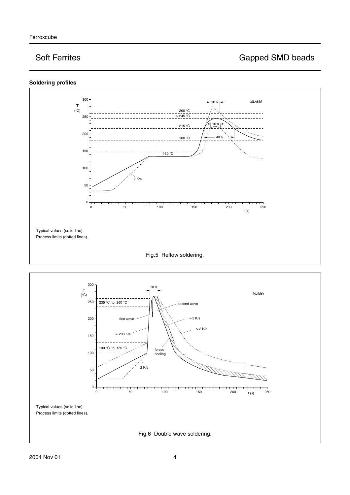



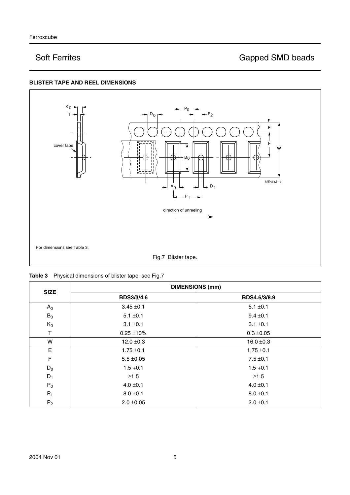## **BLISTER TAPE AND REEL DIMENSIONS**



| <b>SIZE</b> |                                | <b>DIMENSIONS (mm)</b> |
|-------------|--------------------------------|------------------------|
|             | <b>BDS3/3/4.6</b>              | BDS4.6/3/8.9           |
| $A_0$       | $3.45 \pm 0.1$                 | $5.1 \pm 0.1$          |
| $B_0$       | $5.1 \pm 0.1$                  | $9.4 \pm 0.1$          |
| $K_0$       | $3.1 \pm 0.1$                  | $3.1 \pm 0.1$          |
| т           | $0.25 \pm 10\%$                | $0.3 \pm 0.05$         |
| W           | $12.0 \pm 0.3$                 | $16.0 \pm 0.3$         |
| E           | $1.75 \pm 0.1$                 | $1.75 \pm 0.1$         |
| F           | $5.5 \pm 0.05$                 | $7.5 \pm 0.1$          |
| $D_0$       | $1.5 + 0.1$                    | $1.5 + 0.1$            |
| $D_1$       | $\geq 1.5$                     | $\geq1.5$              |
| $P_0$       | $4.0 \pm 0.1$                  | $4.0 \pm 0.1$          |
| $P_1$       | $8.0 \pm 0.1$<br>$8.0 \pm 0.1$ |                        |
| $P_2$       | $2.0 \pm 0.05$                 | $2.0 \pm 0.1$          |

|  | Table 3 Physical dimensions of blister tape; see Fig.7 |  |
|--|--------------------------------------------------------|--|
|--|--------------------------------------------------------|--|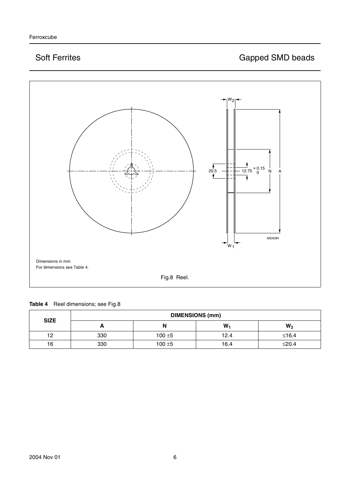

| Table 4 | Reel dimensions; see Fig.8 |  |
|---------|----------------------------|--|
|---------|----------------------------|--|

| <b>SIZE</b> | <b>DIMENSIONS (mm)</b> |           |      |         |
|-------------|------------------------|-----------|------|---------|
|             | -                      | N         | W    | $W_2$   |
| 12          | 330                    | $100 + 5$ | 12.4 | $≤16.4$ |
| 16          | 330                    | $100 + 5$ | 16.4 | $≤20.4$ |